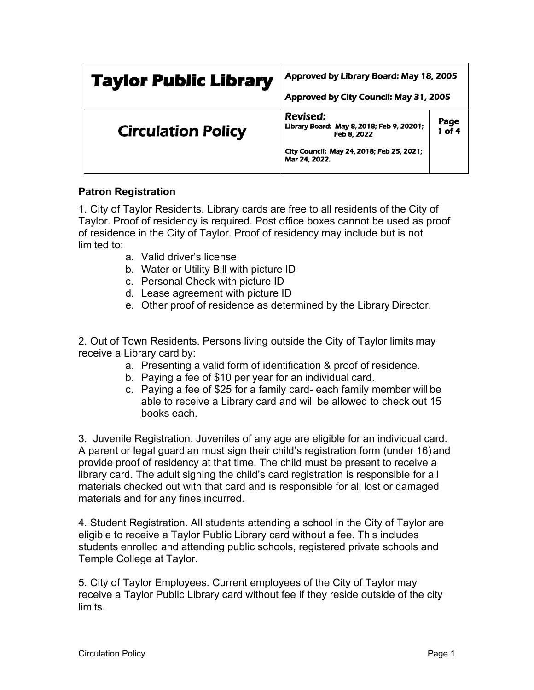| <b>Taylor Public Library</b> | Approved by Library Board: May 18, 2005<br>Approved by City Council: May 31, 2005                                                  |                |
|------------------------------|------------------------------------------------------------------------------------------------------------------------------------|----------------|
| <b>Circulation Policy</b>    | Revised:<br>Library Board: May 8, 2018; Feb 9, 20201;<br>Feb 8, 2022<br>City Council: May 24, 2018; Feb 25, 2021;<br>Mar 24, 2022. | Page<br>1 of 4 |

## **Patron Registration**

1. City of Taylor Residents. Library cards are free to all residents of the City of Taylor. Proof of residency is required. Post office boxes cannot be used as proof of residence in the City of Taylor. Proof of residency may include but is not limited to:

- a. Valid driver's license
- b. Water or Utility Bill with picture ID
- c. Personal Check with picture ID
- d. Lease agreement with picture ID
- e. Other proof of residence as determined by the Library Director.

2. Out of Town Residents. Persons living outside the City of Taylor limits may receive a Library card by:

- a. Presenting a valid form of identification & proof of residence.
- b. Paying a fee of \$10 per year for an individual card.
- c. Paying a fee of \$25 for a family card- each family member will be able to receive a Library card and will be allowed to check out 15 books each.

3. Juvenile Registration. Juveniles of any age are eligible for an individual card. A parent or legal guardian must sign their child's registration form (under 16) and provide proof of residency at that time. The child must be present to receive a library card. The adult signing the child's card registration is responsible for all materials checked out with that card and is responsible for all lost or damaged materials and for any fines incurred.

4. Student Registration. All students attending a school in the City of Taylor are eligible to receive a Taylor Public Library card without a fee. This includes students enrolled and attending public schools, registered private schools and Temple College at Taylor.

5. City of Taylor Employees. Current employees of the City of Taylor may receive a Taylor Public Library card without fee if they reside outside of the city limits.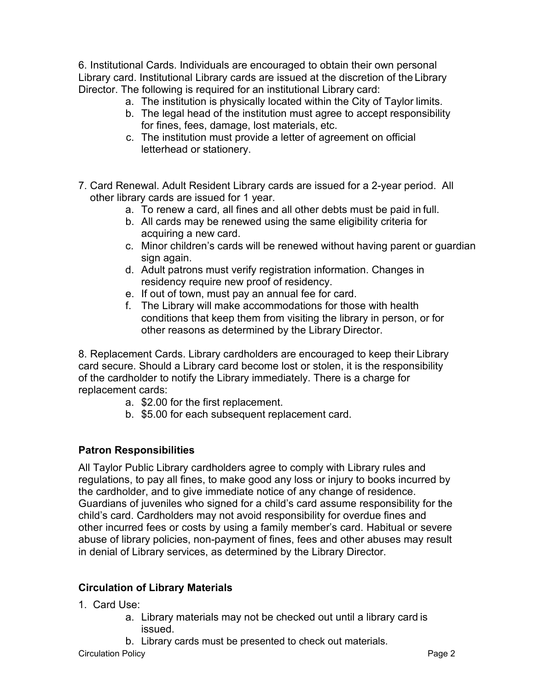6. Institutional Cards. Individuals are encouraged to obtain their own personal Library card. Institutional Library cards are issued at the discretion of the Library Director. The following is required for an institutional Library card:

- a. The institution is physically located within the City of Taylor limits.
- b. The legal head of the institution must agree to accept responsibility for fines, fees, damage, lost materials, etc.
- c. The institution must provide a letter of agreement on official letterhead or stationery.
- 7. Card Renewal. Adult Resident Library cards are issued for a 2-year period. All other library cards are issued for 1 year.
	- a. To renew a card, all fines and all other debts must be paid in full.
	- b. All cards may be renewed using the same eligibility criteria for acquiring a new card.
	- c. Minor children's cards will be renewed without having parent or guardian sign again.
	- d. Adult patrons must verify registration information. Changes in residency require new proof of residency.
	- e. If out of town, must pay an annual fee for card.
	- f. The Library will make accommodations for those with health conditions that keep them from visiting the library in person, or for other reasons as determined by the Library Director.

8. Replacement Cards. Library cardholders are encouraged to keep their Library card secure. Should a Library card become lost or stolen, it is the responsibility of the cardholder to notify the Library immediately. There is a charge for replacement cards:

- a. \$2.00 for the first replacement.
- b. \$5.00 for each subsequent replacement card.

# **Patron Responsibilities**

All Taylor Public Library cardholders agree to comply with Library rules and regulations, to pay all fines, to make good any loss or injury to books incurred by the cardholder, and to give immediate notice of any change of residence. Guardians of juveniles who signed for a child's card assume responsibility for the child's card. Cardholders may not avoid responsibility for overdue fines and other incurred fees or costs by using a family member's card. Habitual or severe abuse of library policies, non-payment of fines, fees and other abuses may result in denial of Library services, as determined by the Library Director.

#### **Circulation of Library Materials**

- 1. Card Use:
	- a. Library materials may not be checked out until a library card is issued.
	- b. Library cards must be presented to check out materials.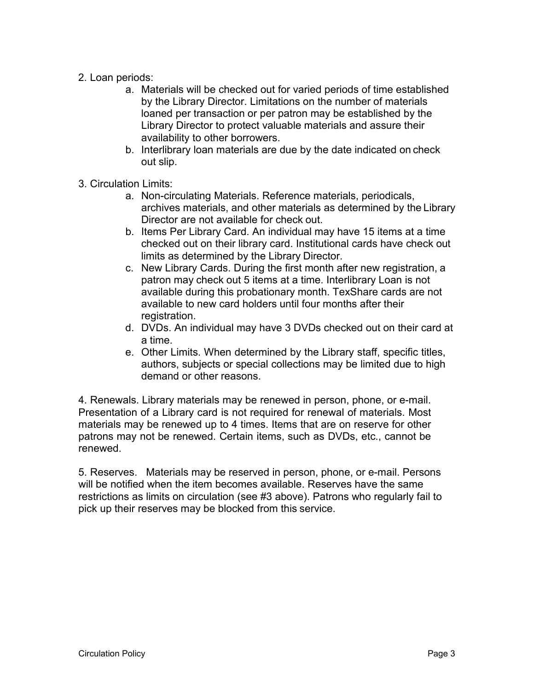## 2. Loan periods:

- a. Materials will be checked out for varied periods of time established by the Library Director. Limitations on the number of materials loaned per transaction or per patron may be established by the Library Director to protect valuable materials and assure their availability to other borrowers.
- b. Interlibrary loan materials are due by the date indicated on check out slip.
- 3. Circulation Limits:
	- a. Non-circulating Materials. Reference materials, periodicals, archives materials, and other materials as determined by the Library Director are not available for check out.
	- b. Items Per Library Card. An individual may have 15 items at a time checked out on their library card. Institutional cards have check out limits as determined by the Library Director.
	- c. New Library Cards. During the first month after new registration, a patron may check out 5 items at a time. Interlibrary Loan is not available during this probationary month. TexShare cards are not available to new card holders until four months after their registration.
	- d. DVDs. An individual may have 3 DVDs checked out on their card at a time.
	- e. Other Limits. When determined by the Library staff, specific titles, authors, subjects or special collections may be limited due to high demand or other reasons.

4. Renewals. Library materials may be renewed in person, phone, or e-mail. Presentation of a Library card is not required for renewal of materials. Most materials may be renewed up to 4 times. Items that are on reserve for other patrons may not be renewed. Certain items, such as DVDs, etc., cannot be renewed.

5. Reserves. Materials may be reserved in person, phone, or e-mail. Persons will be notified when the item becomes available. Reserves have the same restrictions as limits on circulation (see #3 above). Patrons who regularly fail to pick up their reserves may be blocked from this service.